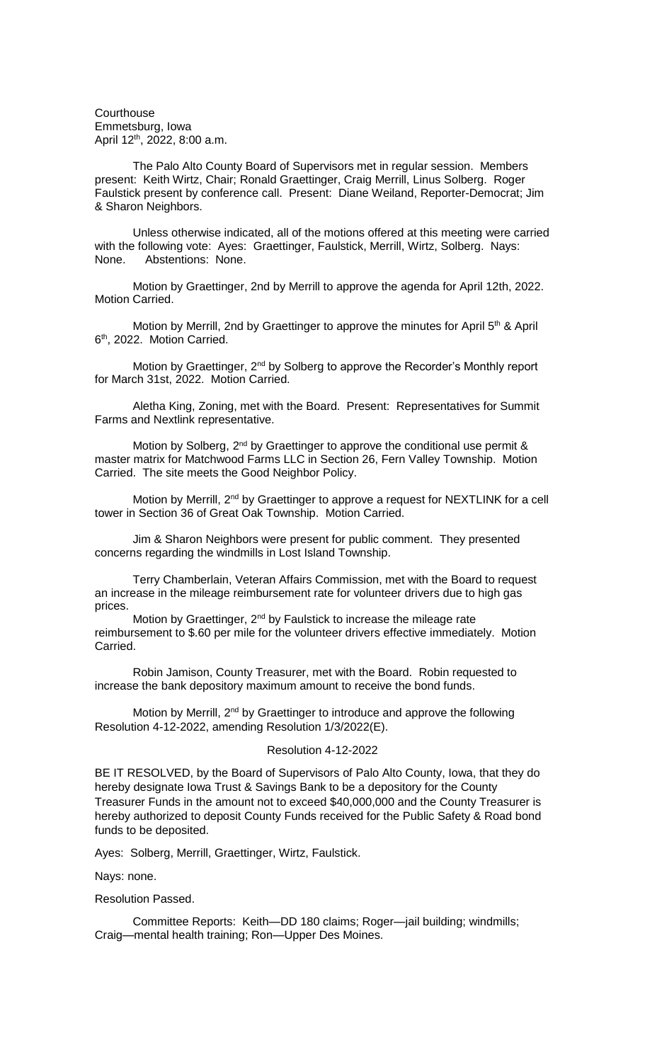**Courthouse** Emmetsburg, Iowa April 12th, 2022, 8:00 a.m.

The Palo Alto County Board of Supervisors met in regular session. Members present: Keith Wirtz, Chair; Ronald Graettinger, Craig Merrill, Linus Solberg. Roger Faulstick present by conference call. Present: Diane Weiland, Reporter-Democrat; Jim & Sharon Neighbors.

Unless otherwise indicated, all of the motions offered at this meeting were carried with the following vote: Ayes: Graettinger, Faulstick, Merrill, Wirtz, Solberg. Nays: None. Abstentions: None.

Motion by Graettinger, 2nd by Merrill to approve the agenda for April 12th, 2022. Motion Carried.

Motion by Merrill, 2nd by Graettinger to approve the minutes for April 5<sup>th</sup> & April 6<sup>th</sup>, 2022. Motion Carried.

Motion by Graettinger, 2<sup>nd</sup> by Solberg to approve the Recorder's Monthly report for March 31st, 2022. Motion Carried.

Aletha King, Zoning, met with the Board. Present: Representatives for Summit Farms and Nextlink representative.

Motion by Solberg, 2<sup>nd</sup> by Graettinger to approve the conditional use permit & master matrix for Matchwood Farms LLC in Section 26, Fern Valley Township. Motion Carried. The site meets the Good Neighbor Policy.

Motion by Merrill, 2<sup>nd</sup> by Graettinger to approve a request for NEXTLINK for a cell tower in Section 36 of Great Oak Township. Motion Carried.

Jim & Sharon Neighbors were present for public comment. They presented concerns regarding the windmills in Lost Island Township.

Terry Chamberlain, Veteran Affairs Commission, met with the Board to request an increase in the mileage reimbursement rate for volunteer drivers due to high gas prices.

Motion by Graettinger, 2<sup>nd</sup> by Faulstick to increase the mileage rate reimbursement to \$.60 per mile for the volunteer drivers effective immediately. Motion Carried.

Robin Jamison, County Treasurer, met with the Board. Robin requested to increase the bank depository maximum amount to receive the bond funds.

Motion by Merrill, 2<sup>nd</sup> by Graettinger to introduce and approve the following Resolution 4-12-2022, amending Resolution 1/3/2022(E).

## Resolution 4-12-2022

BE IT RESOLVED, by the Board of Supervisors of Palo Alto County, Iowa, that they do hereby designate Iowa Trust & Savings Bank to be a depository for the County Treasurer Funds in the amount not to exceed \$40,000,000 and the County Treasurer is hereby authorized to deposit County Funds received for the Public Safety & Road bond funds to be deposited.

Ayes: Solberg, Merrill, Graettinger, Wirtz, Faulstick.

Nays: none.

Resolution Passed.

Committee Reports: Keith—DD 180 claims; Roger—jail building; windmills; Craig—mental health training; Ron—Upper Des Moines.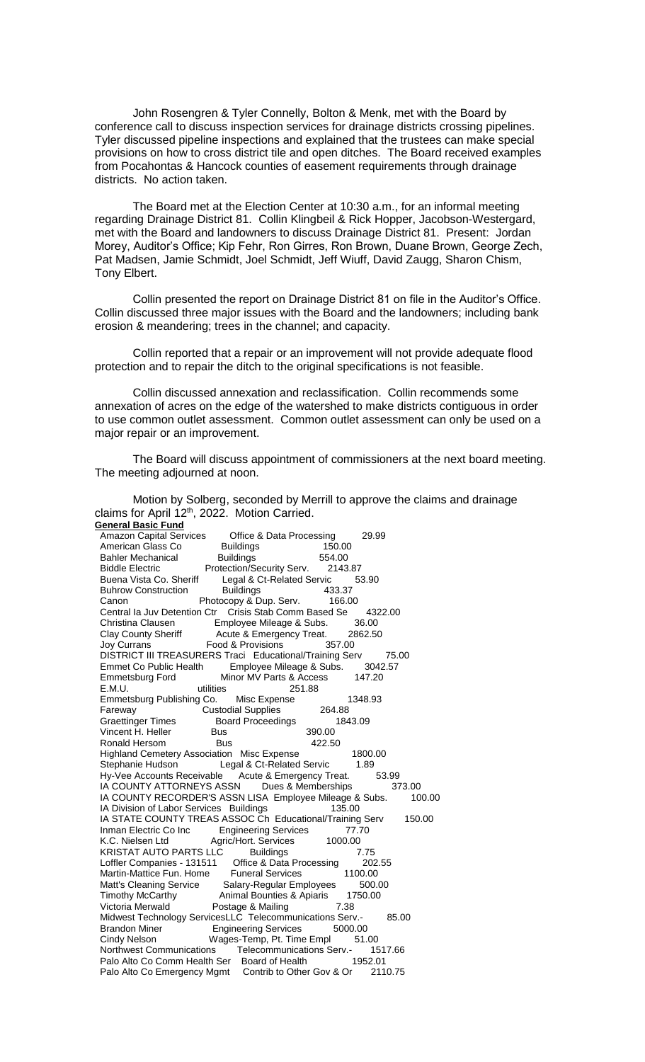John Rosengren & Tyler Connelly, Bolton & Menk, met with the Board by conference call to discuss inspection services for drainage districts crossing pipelines. Tyler discussed pipeline inspections and explained that the trustees can make special provisions on how to cross district tile and open ditches. The Board received examples from Pocahontas & Hancock counties of easement requirements through drainage districts. No action taken.

The Board met at the Election Center at 10:30 a.m., for an informal meeting regarding Drainage District 81. Collin Klingbeil & Rick Hopper, Jacobson-Westergard, met with the Board and landowners to discuss Drainage District 81. Present: Jordan Morey, Auditor's Office; Kip Fehr, Ron Girres, Ron Brown, Duane Brown, George Zech, Pat Madsen, Jamie Schmidt, Joel Schmidt, Jeff Wiuff, David Zaugg, Sharon Chism, Tony Elbert.

Collin presented the report on Drainage District 81 on file in the Auditor's Office. Collin discussed three major issues with the Board and the landowners; including bank erosion & meandering; trees in the channel; and capacity.

Collin reported that a repair or an improvement will not provide adequate flood protection and to repair the ditch to the original specifications is not feasible.

Collin discussed annexation and reclassification. Collin recommends some annexation of acres on the edge of the watershed to make districts contiguous in order to use common outlet assessment. Common outlet assessment can only be used on a major repair or an improvement.

The Board will discuss appointment of commissioners at the next board meeting. The meeting adjourned at noon.

**General Basic Fund** Amazon Capital Services Cffice & Data Processing 29.99<br>American Glass Co Buildings 150.00 American Glass Co. Bahler Mechanical Buildings 554.00 Biddle Electric **Protection/Security Serv.** 2143.87 Buena Vista Co. Sheriff Legal & Ct-Related Servic 53.90<br>Buhrow Construction Buildings 433.37 Buhrow Construction Buildings 433.37<br>Canon Photocopy & Dup. Serv. 166.00 Canon Photocopy & Dup. Serv. Central Ia Juv Detention Ctr Crisis Stab Comm Based Se 4322.00<br>Christina Clausen Employee Mileage & Subs. 36.00 Employee Mileage & Subs. 36.00<br>Acute & Emergency Treat. 2862.50 Clay County Sheriff Acute & Emergency Treat. 28<br>
Joy Currans Food & Provisions 357.00 Food & Provisions DISTRICT III TREASURERS Traci Educational/Training Serv 75.00<br>Emmet Co Public Health Employee Mileage & Subs. 3042.57 Employee Mileage & Subs. Emmetsburg Ford Minor MV Parts & Access 147.20 E.M.U. 38<br>E.M.U. utilities 251.88<br>Fmmetsburg Publishing Co. Misc Expense Emmetsburg Publishing Co. Misc Expense 1348.93<br>
Fareway Custodial Supplies 264.88 Fareway Custodial Supplies Graettinger Times Board Proceedings 1843.09<br>
Vincent H. Heller Bus 390.00 Vincent H. Heller Bus Ronald Hersom Bus 422.50 Highland Cemetery Association Misc Expense 1800.00 Stephanie Hudson Legal & Ct-Related Servic 1.89<br>Hy-Vee Accounts Receivable Acute & Emergency Treat. Hy-Vee Accounts Receivable Acute & Emergency Treat. 53.99<br>IA COUNTY ATTORNEYS ASSN Dues & Memberships 373.00 IA COUNTY ATTORNEYS ASSN Dues & Memberships IA COUNTY RECORDER'S ASSN LISA Employee Mileage & Subs. 100.00 IA Division of Labor Services Buildings 135.00 IA STATE COUNTY TREAS ASSOC Ch Educational/Training Serv 150.00 Inman Electric Co Inc Engineering Services 77.70 K.C. Nielsen Ltd Agric/Hort. Services 1000.00<br>KRISTAT AUTO PARTS LLC Buildings 7 KRISTAT AUTO PARTS LLC Buildings 7.75<br>Loffler Companies - 131511 Office & Data Processing 202 Loffler Companies - 131511 Office & Data Processing 202.55 Martin-Mattice Fun. Home Matt's Cleaning Service Salary-Regular Employees 500.00<br>Timothy McCarthy Animal Bounties & Apiaris 1750.00 Animal Bounties & Apiaris Victoria Merwald Postage & Mailing 7.38 Midwest Technology ServicesLLC Telecommunications Serv.- 85.00 Brandon Miner Engineering Services 5000.00<br>Cindy Nelson Wages-Temp, Pt. Time Fmpl 51.00 Cindy Nelson Wages-Temp, Pt. Time Empl Northwest Communications Telecommunications Serv.- 1517.66<br>Palo Alto Co Comm Health Ser Board of Health 1952.01 Palo Alto Co Comm Health Ser Board of Health Palo Alto Co Emergency Mgmt Contrib to Other Gov & Or 2110.75

Motion by Solberg, seconded by Merrill to approve the claims and drainage claims for April 12<sup>th</sup>, 2022. Motion Carried.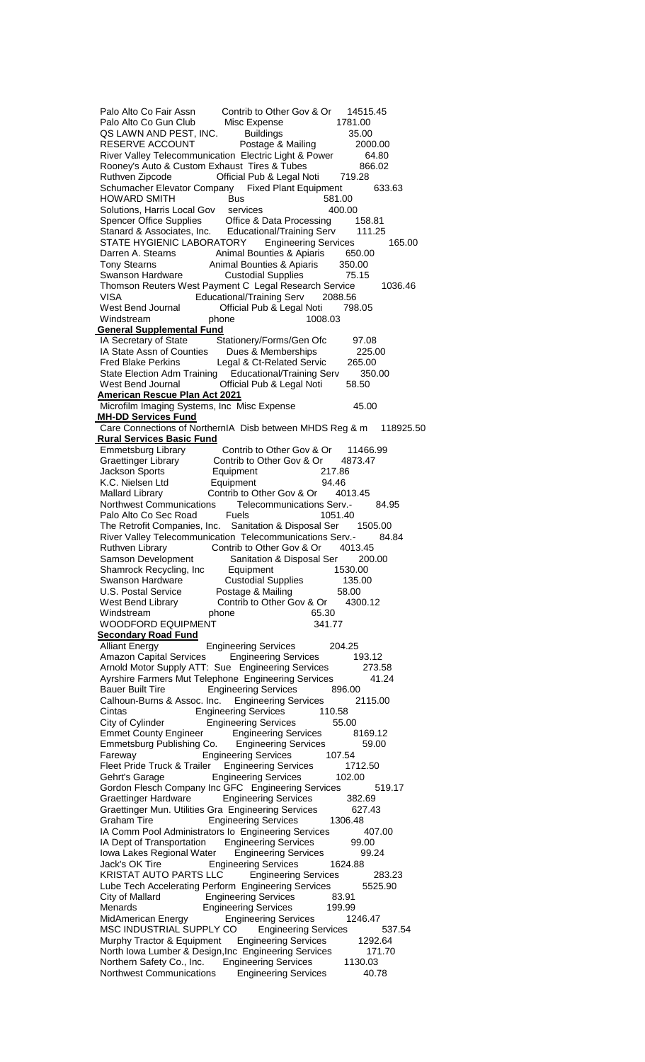Palo Alto Co Fair Assn Contrib to Other Gov & Or 14515.45<br>Palo Alto Co Gun Club Misc Expense 1781.00 Palo Alto Co Gun Club Misc Expense QS LAWN AND PEST, INC. Buildings 35.00<br>RESERVE ACCOUNT Postage & Mailing 2000.00 RESERVE ACCOUNT River Valley Telecommunication Electric Light & Power 64.80<br>Rooney's Auto & Custom Exhaust Tires & Tubes 866.02 Rooney's Auto & Custom Exhaust Tires & Tubes 86<br>Ruthven Zipcode 6.02 Cofficial Pub & Legal Noti 719.28 Ruthven Zipcode **Official Pub & Legal Noti** Schumacher Elevator Company Fixed Plant Equipment 633.63<br>HOWARD SMITH Bus 581.00 HOWARD SMITH Bus Bus 581.00<br>Solutions, Harris Local Gov services 400.00 Solutions, Harris Local Gov services 400.00<br>
Spencer Office Supplies Office & Data Processing 158.81 Office & Data Processing Stanard & Associates, Inc. Educational/Training Serv 111.25 STATE HYGIENIC LABORATORY Engineering Services 165.00 Darren A. Stearns Animal Bounties & Apiaris 650.00 Tony Stearns Animal Bounties & Apiaris 350.00<br>Swanson Hardware Custodial Supplies 75.15 Custodial Supplies 75.15 Thomson Reuters West Payment C Legal Research Service 1036.46 VISA Educational/Training Serv 2088.56 West Bend Journal **Official Pub & Legal Noti** 798.05<br>Windstream phone 1008.03 Windstream **General Supplemental Fund** IA Secretary of State Stationery/Forms/Gen Ofc 97.08 IA State Assn of Counties Dues & Memberships 225.00<br>Fred Blake Perkins Legal & Ct-Related Servic 265.00 Fred Blake Perkins Legal & Ct-Related Servic 265.00 State Election Adm Training Educational/Training Serv 350.00 West Bend Journal **Official Pub & Legal Noti** 58.50 **American Rescue Plan Act 2021** Microfilm Imaging Systems, Inc Misc Expense 45.00 **MH-DD Services Fund** Care Connections of NorthernIA Disb between MHDS Reg & m 118925.50 **Rural Services Basic Fund** Emmetsburg Library Contrib to Other Gov & Or 11466.99<br>Graettinger Library Contrib to Other Gov & Or 4873.47 Contrib to Other Gov & Or 48<br>Equipment 217.86 Jackson Sports Equipment 217.86 K.C. Nielsen Ltd **Equipment** Mallard Library Contrib to Other Gov & Or 4013.45<br>Northwest Communications Telecommunications Serv.-Telecommunications Serv.- 84.95<br>Fuels 1051.40 Palo Alto Co Sec Road Fuels 1051.40<br>The Retrofit Companies, Inc. Sanitation & Disposal Ser 1505.00 The Retrofit Companies, Inc. Sanitation & Disposal Ser River Valley Telecommunication Telecommunications Serv.- 84.84 Ruthven Library Contrib to Other Gov & Or 4013.45 Samson Development Sanitation & Disposal Ser 200.00<br>Shamrock Recycling, Inc Equipment 1530.00 Shamrock Recycling, Inc Equipment Swanson Hardware Custodial Supplies 135.00<br>
U.S. Postal Service Postage & Mailing 58.00 U.S. Postal Service<br>West Bend Library Contrib to Other Gov & Or 4300.12<br>
12<br>
65.30 Windstream phone 65.30<br>
WOODFORD EQUIPMENT 341.77 WOODFORD EQUIPMENT **Secondary Road Fund**<br>Alliant Energy Engineering Services 204.25 Amazon Capital Services Engineering Services 193.12 Arnold Motor Supply ATT: Sue Engineering Services 273.58 Ayrshire Farmers Mut Telephone Engineering Services 41.24<br>Bauer Built Tire Engineering Services 896.00 **Engineering Services**  Calhoun-Burns & Assoc. Inc. Engineering Services 2115.00 Engineering Services City of Cylinder Fingineering Services 55.00<br>Emmet County Engineer Engineering Services 8169.12 Emmet County Engineer Engineering Services<br>Emmetsburg Publishing Co. Engineering Services Emmetsburg Publishing Co. Engineering Services 59.00 Fareway **Engineering Services**  Fleet Pride Truck & Trailer Engineering Services 1712.50 Gehrt's Garage Engineering Services 102.00 Gordon Flesch Company Inc GFC Engineering Services 519.17 Graettinger Hardware Engineering Services 382.69 Graettinger Mun. Utilities Gra Engineering Services 627.43 Graham Tire **Engineering Services** 1306.48 IA Comm Pool Administrators Io Engineering Services 407.00<br>IA Dept of Transportation Engineering Services 99.00 IA Dept of Transportation Iowa Lakes Regional Water Engineering Services 89.24<br>Jack's OK Tire Figineering Services 1624.88 **Engineering Services**  KRISTAT AUTO PARTS LLC Engineering Services 283.23 Lube Tech Accelerating Perform Engineering Services 5525.90 City of Mallard **Engineering Services** 83.91 Menards **Engineering Services** 199.99 MidAmerican Energy Engineering Services 1246.47<br>MSC INDUSTRIAL SUPPLY CO Engineering Services 537.54 MSC INDUSTRIAL SUPPLY CO Engineering Services Murphy Tractor & Equipment Engineering Services 1292.64 North Iowa Lumber & Design, Inc Engineering Services 171.70<br>Northern Safety Co., Inc. Engineering Services 1130.03 Northern Safety Co., Inc. Engineering Services Northwest Communications Engineering Services 40.78